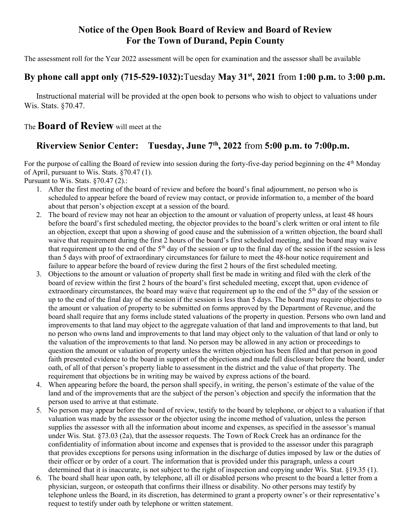## Notice of the Open Book Board of Review and Board of Review For the Town of Durand, Pepin County

The assessment roll for the Year 2022 assessment will be open for examination and the assessor shall be available

## By phone call appt only (715-529-1032): Tuesday May  $31^{st}$ , 2021 from 1:00 p.m. to 3:00 p.m.

Instructional material will be provided at the open book to persons who wish to object to valuations under Wis. Stats. §70.47.

## The **Board of Review** will meet at the

## Riverview Senior Center: Tuesday, June  $7<sup>th</sup>$ , 2022 from 5:00 p.m. to 7:00p.m.

For the purpose of calling the Board of review into session during the forty-five-day period beginning on the 4<sup>th</sup> Monday of April, pursuant to Wis. Stats. §70.47 (1).

Pursuant to Wis. Stats. §70.47 (2).:

- 1. After the first meeting of the board of review and before the board's final adjournment, no person who is scheduled to appear before the board of review may contact, or provide information to, a member of the board about that person's objection except at a session of the board.
- 2. The board of review may not hear an objection to the amount or valuation of property unless, at least 48 hours before the board's first scheduled meeting, the objector provides to the board's clerk written or oral intent to file an objection, except that upon a showing of good cause and the submission of a written objection, the board shall waive that requirement during the first 2 hours of the board's first scheduled meeting, and the board may waive that requirement up to the end of the 5th day of the session or up to the final day of the session if the session is less than 5 days with proof of extraordinary circumstances for failure to meet the 48-hour notice requirement and failure to appear before the board of review during the first 2 hours of the first scheduled meeting.
- 3. Objections to the amount or valuation of property shall first be made in writing and filed with the clerk of the board of review within the first 2 hours of the board's first scheduled meeting, except that, upon evidence of extraordinary circumstances, the board may waive that requirement up to the end of the 5<sup>th</sup> day of the session or up to the end of the final day of the session if the session is less than 5 days. The board may require objections to the amount or valuation of property to be submitted on forms approved by the Department of Revenue, and the board shall require that any forms include stated valuations of the property in question. Persons who own land and improvements to that land may object to the aggregate valuation of that land and improvements to that land, but no person who owns land and improvements to that land may object only to the valuation of that land or only to the valuation of the improvements to that land. No person may be allowed in any action or proceedings to question the amount or valuation of property unless the written objection has been filed and that person in good faith presented evidence to the board in support of the objections and made full disclosure before the board, under oath, of all of that person's property liable to assessment in the district and the value of that property. The requirement that objections be in writing may be waived by express actions of the board.
- 4. When appearing before the board, the person shall specify, in writing, the person's estimate of the value of the land and of the improvements that are the subject of the person's objection and specify the information that the person used to arrive at that estimate.
- 5. No person may appear before the board of review, testify to the board by telephone, or object to a valuation if that valuation was made by the assessor or the objector using the income method of valuation, unless the person supplies the assessor with all the information about income and expenses, as specified in the assessor's manual under Wis. Stat. §73.03 (2a), that the assessor requests. The Town of Rock Creek has an ordinance for the confidentiality of information about income and expenses that is provided to the assessor under this paragraph that provides exceptions for persons using information in the discharge of duties imposed by law or the duties of their officer or by order of a court. The information that is provided under this paragraph, unless a court determined that it is inaccurate, is not subject to the right of inspection and copying under Wis. Stat. §19.35 (1).
- 6. The board shall hear upon oath, by telephone, all ill or disabled persons who present to the board a letter from a physician, surgeon, or osteopath that confirms their illness or disability. No other persons may testify by telephone unless the Board, in its discretion, has determined to grant a property owner's or their representative's request to testify under oath by telephone or written statement.